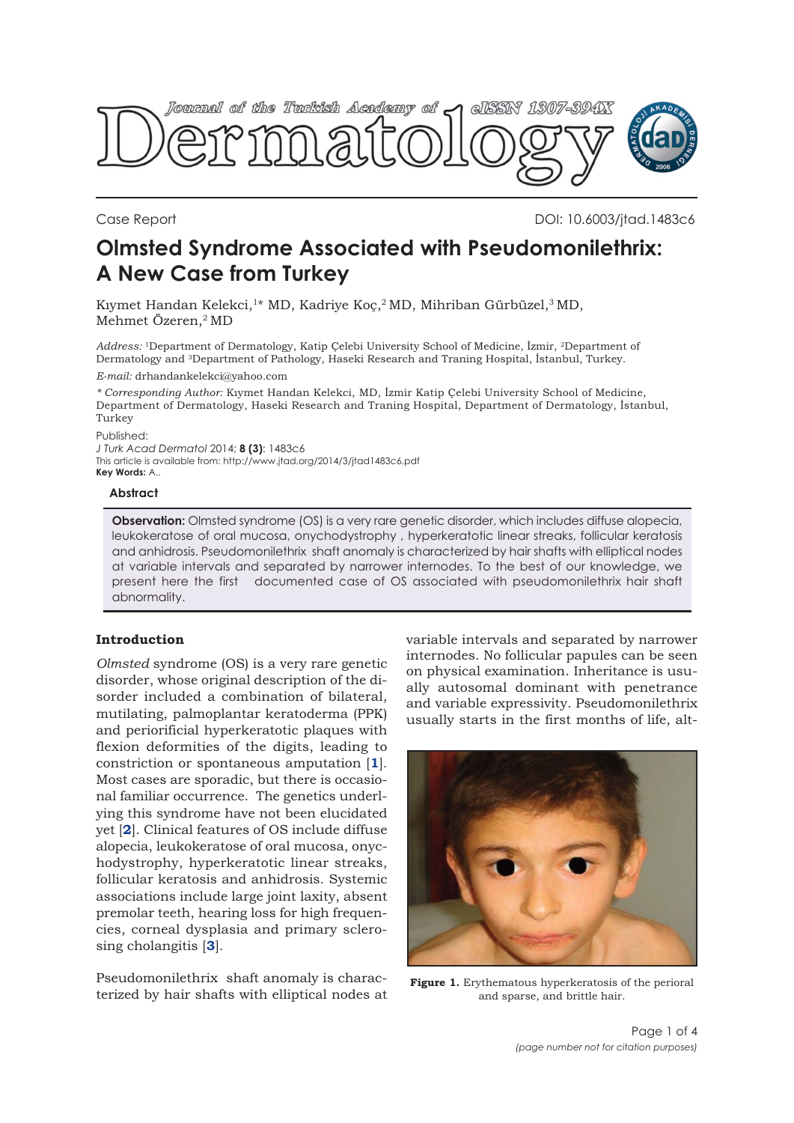<span id="page-0-0"></span>

Case Report DOI: 10.6003/jtad.1483c6

# **Olmsted Syndrome Associated with Pseudomonilethrix: A New Case from Turkey**

Kıymet Handan Kelekci,<sup>1\*</sup> MD, Kadriye Koç,<sup>2</sup> MD, Mihriban Gürbüzel,<sup>3</sup> MD, Mehmet Özeren,2 MD

Address: <sup>1</sup>Department of Dermatology, Katip Çelebi University School of Medicine, İzmir, <sup>2</sup>Department of Dermatology and 3Department of Pathology, Haseki Research and Traning Hospital, İstanbul, Turkey.

*E-mail:* drhandankelekci@yahoo.com

*\* Corresponding Author:* Kıymet Handan Kelekci, MD, İzmir Katip Çelebi University School of Medicine, Department of Dermatology, Haseki Research and Traning Hospital, Department of Dermatology, İstanbul, Turkey

Published:

*J Turk Acad Dermatol* 2014; **8 (3)**: 1483c6 This article is available from: http://www.jtad.org/2014/3/jtad1483c6.pdf **Key Words:** A..

#### **Abstract**

**Observation:** Olmsted syndrome (OS) is a very rare genetic disorder, which includes diffuse alopecia, leukokeratose of oral mucosa, onychodystrophy , hyperkeratotic linear streaks, follicular keratosis and anhidrosis. Pseudomonilethrix shaft anomaly is characterized by hair shafts with elliptical nodes at variable intervals and separated by narrower internodes. To the best of our knowledge, we present here the first documented case of OS associated with pseudomonilethrix hair shaft abnormality.

# **Introduction**

*Olmsted* syndrome (OS) is a very rare genetic disorder, whose original description of the disorder included a combination of bilateral, mutilating, palmoplantar keratoderma (PPK) and periorificial hyperkeratotic plaques with flexion deformities of the digits, leading to constriction or spontaneous amputation [**[1](#page-2-0)**]. Most cases are sporadic, but there is occasional familiar occurrence. The genetics underlying this syndrome have not been elucidated yet [**[2](#page-2-0)**]. Clinical features of OS include diffuse alopecia, leukokeratose of oral mucosa, onychodystrophy, hyperkeratotic linear streaks, follicular keratosis and anhidrosis. Systemic associations include large joint laxity, absent premolar teeth, hearing loss for high frequencies, corneal dysplasia and primary sclerosing cholangitis [**[3](#page-2-0)**].

Pseudomonilethrix shaft anomaly is characterized by hair shafts with elliptical nodes at variable intervals and separated by narrower internodes. No follicular papules can be seen on physical examination. Inheritance is usually autosomal dominant with penetrance and variable expressivity. Pseudomonilethrix usually starts in the first months of life, alt-



**Figure 1.** Erythematous hyperkeratosis of the perioral and sparse, and brittle hair.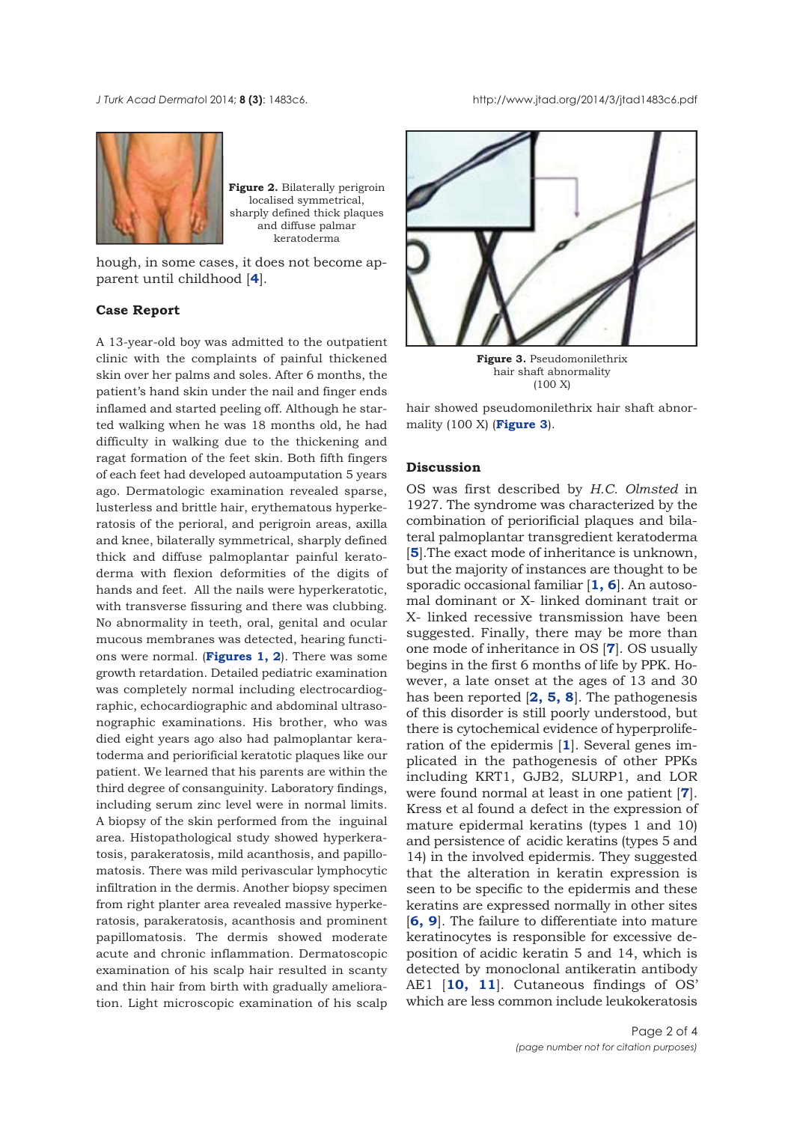*J Turk Acad Dermato*l 2014; **8 (3)**: 1483c6. http://www.jtad.org/2014/3/jtad1483c6.pdf



**Figure 2.** Bilaterally perigroin localised symmetrical, sharply defined thick plaques and diffuse palmar keratoderma

hough, in some cases, it does not become apparent until childhood [**[4](#page-2-0)**].

## **Case Report**

A 13-year-old boy was admitted to the outpatient clinic with the complaints of painful thickened skin over her palms and soles. After 6 months, the patient's hand skin under the nail and finger ends inflamed and started peeling off. Although he started walking when he was 18 months old, he had difficulty in walking due to the thickening and ragat formation of the feet skin. Both fifth fingers of each feet had developed autoamputation 5 years ago. Dermatologic examination revealed sparse, lusterless and brittle hair, erythematous hyperkeratosis of the perioral, and perigroin areas, axilla and knee, bilaterally symmetrical, sharply defined thick and diffuse palmoplantar painful keratoderma with flexion deformities of the digits of hands and feet. All the nails were hyperkeratotic, with transverse fissuring and there was clubbing. No abnormality in teeth, oral, genital and ocular mucous membranes was detected, hearing functions were normal. (**[Figures 1,](#page-0-0) 2**). There was some growth retardation. Detailed pediatric examination was completely normal including electrocardiographic, echocardiographic and abdominal ultrasonographic examinations. His brother, who was died eight years ago also had palmoplantar keratoderma and periorificial keratotic plaques like our patient. We learned that his parents are within the third degree of consanguinity. Laboratory findings, including serum zinc level were in normal limits. A biopsy of the skin performed from the inguinal area. Histopathological study showed hyperkeratosis, parakeratosis, mild acanthosis, and papillomatosis. There was mild perivascular lymphocytic infiltration in the dermis. Another biopsy specimen from right planter area revealed massive hyperkeratosis, parakeratosis, acanthosis and prominent papillomatosis. The dermis showed moderate acute and chronic inflammation. Dermatoscopic examination of his scalp hair resulted in scanty and thin hair from birth with gradually amelioration. Light microscopic examination of his scalp



**Figure 3.** Pseudomonilethrix hair shaft abnormality (100 X)

hair showed pseudomonilethrix hair shaft abnormality (100 X) (**Figure 3**).

### **Discussion**

OS was first described by *H.C. Olmsted* in 1927. The syndrome was characterized by the combination of periorificial plaques and bilateral palmoplantar transgredient keratoderma [**[5](#page-2-0)**].The exact mode of inheritance is unknown, but the majority of instances are thought to be sporadic occasional familiar [**[1, 6](#page-2-0)**]. An autosomal dominant or X- linked dominant trait or X- linked recessive transmission have been suggested. Finally, there may be more than one mode of inheritance in OS [**[7](#page-3-0)**]. OS usually begins in the first 6 months of life by PPK. However, a late onset at the ages of 13 and 30 has been reported [**[2,](#page-2-0) [5,](#page-2-0) [8](#page-3-0)**]. The pathogenesis of this disorder is still poorly understood, but there is cytochemical evidence of hyperproliferation of the epidermis [**[1](#page-2-0)**]. Several genes implicated in the pathogenesis of other PPKs including KRT1, GJB2, SLURP1, and LOR were found normal at least in one patient [**[7](#page-3-0)**]. Kress et al found a defect in the expression of mature epidermal keratins (types 1 and 10) and persistence of acidic keratins (types 5 and 14) in the involved epidermis. They suggested that the alteration in keratin expression is seen to be specific to the epidermis and these keratins are expressed normally in other sites [**[6, 9](#page-3-0)**]. The failure to differentiate into mature keratinocytes is responsible for excessive deposition of acidic keratin 5 and 14, which is detected by monoclonal antikeratin antibody AE1 [**[10,](#page-3-0) [11](#page-3-0)**]. Cutaneous findings of OS' which are less common include leukokeratosis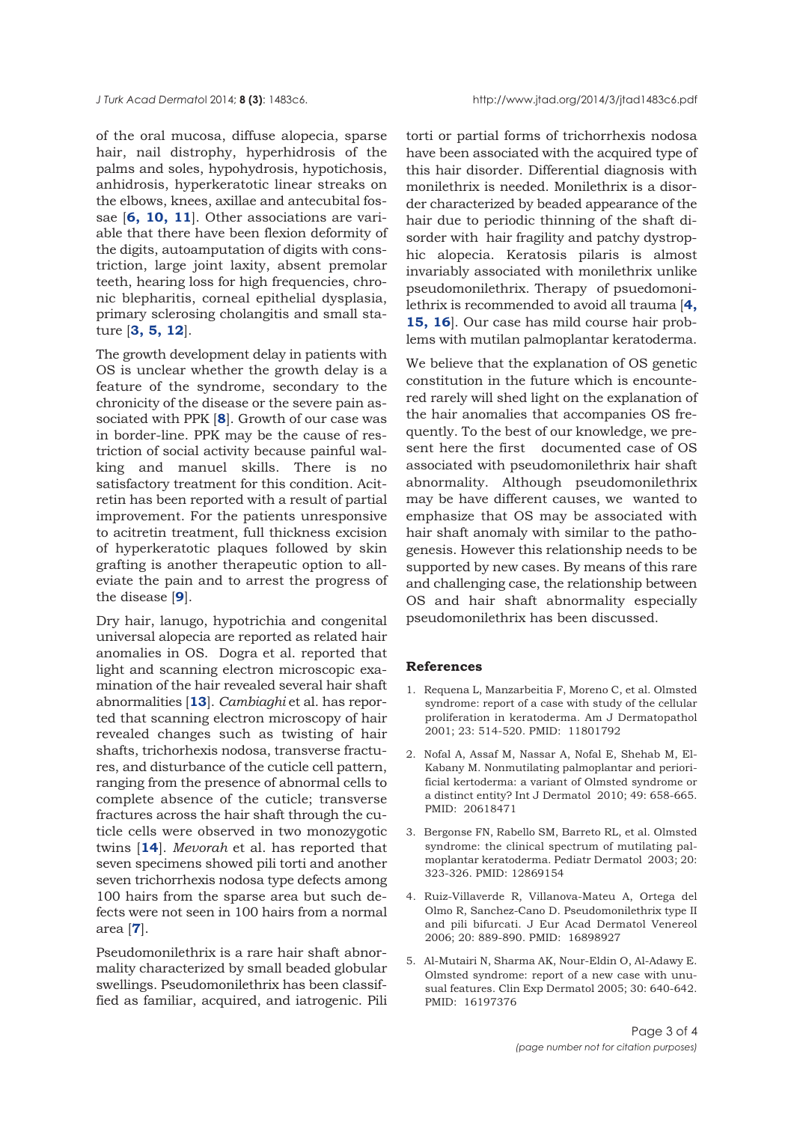<span id="page-2-0"></span>of the oral mucosa, diffuse alopecia, sparse hair, nail distrophy, hyperhidrosis of the palms and soles, hypohydrosis, hypotichosis, anhidrosis, hyperkeratotic linear streaks on the elbows, knees, axillae and antecubital fossae [**6, [10,](#page-3-0) [11](#page-3-0)**]. Other associations are variable that there have been flexion deformity of the digits, autoamputation of digits with constriction, large joint laxity, absent premolar teeth, hearing loss for high frequencies, chronic blepharitis, corneal epithelial dysplasia, primary sclerosing cholangitis and small stature [**3, [5,](#page-3-0) [12](#page-3-0)**].

The growth development delay in patients with OS is unclear whether the growth delay is a feature of the syndrome, secondary to the chronicity of the disease or the severe pain associated with PPK [**[8](#page-3-0)**]. Growth of our case was in border-line. PPK may be the cause of restriction of social activity because painful walking and manuel skills. There is no satisfactory treatment for this condition. Acitretin has been reported with a result of partial improvement. For the patients unresponsive to acitretin treatment, full thickness excision of hyperkeratotic plaques followed by skin grafting is another therapeutic option to alleviate the pain and to arrest the progress of the disease [**[9](#page-3-0)**].

Dry hair, lanugo, hypotrichia and congenital universal alopecia are reported as related hair anomalies in OS. Dogra et al. reported that light and scanning electron microscopic examination of the hair revealed several hair shaft abnormalities [**[13](#page-3-0)**]. *Cambiaghi* et al. has reported that scanning electron microscopy of hair revealed changes such as twisting of hair shafts, trichorhexis nodosa, transverse fractures, and disturbance of the cuticle cell pattern, ranging from the presence of abnormal cells to complete absence of the cuticle; transverse fractures across the hair shaft through the cuticle cells were observed in two monozygotic twins [**[14](#page-3-0)**]. *Mevorah* et al. has reported that seven specimens showed pili torti and another seven trichorrhexis nodosa type defects among 100 hairs from the sparse area but such defects were not seen in 100 hairs from a normal area [**[7](#page-3-0)**].

Pseudomonilethrix is a rare hair shaft abnormality characterized by small beaded globular swellings. Pseudomonilethrix has been classiffied as familiar, acquired, and iatrogenic. Pili torti or partial forms of trichorrhexis nodosa have been associated with the acquired type of this hair disorder. Differential diagnosis with monilethrix is needed. Monilethrix is a disorder characterized by beaded appearance of the hair due to periodic thinning of the shaft disorder with hair fragility and patchy dystrophic alopecia. Keratosis pilaris is almost invariably associated with monilethrix unlike pseudomonilethrix. Therapy of psuedomonilethrix is recommended to avoid all trauma [**4, [15,](#page-3-0) [16](#page-3-0)**]. Our case has mild course hair problems with mutilan palmoplantar keratoderma.

We believe that the explanation of OS genetic constitution in the future which is encountered rarely will shed light on the explanation of the hair anomalies that accompanies OS frequently. To the best of our knowledge, we present here the first documented case of OS associated with pseudomonilethrix hair shaft abnormality. Although pseudomonilethrix may be have different causes, we wanted to emphasize that OS may be associated with hair shaft anomaly with similar to the pathogenesis. However this relationship needs to be supported by new cases. By means of this rare and challenging case, the relationship between OS and hair shaft abnormality especially pseudomonilethrix has been discussed.

#### **References**

- 1. Requena L, Manzarbeitia F, Moreno C, et al. Olmsted syndrome: report of a case with study of the cellular proliferation in keratoderma. Am J Dermatopathol 2001; 23: 514-520. PMID: 11801792
- 2. Nofal A, Assaf M, Nassar A, Nofal E, Shehab M, El-Kabany M. Nonmutilating palmoplantar and periorificial kertoderma: a variant of Olmsted syndrome or a distinct entity? Int J Dermatol 2010; 49: 658-665. PMID: 20618471
- 3. Bergonse FN, Rabello SM, Barreto RL, et al. Olmsted syndrome: the clinical spectrum of mutilating palmoplantar keratoderma. Pediatr Dermatol 2003; 20: 323-326. PMID: 12869154
- 4. Ruiz-Villaverde R, Villanova-Mateu A, Ortega del Olmo R, Sanchez-Cano D. Pseudomonilethrix type II and pili bifurcati. J Eur Acad Dermatol Venereol 2006; 20: 889-890. PMID: 16898927
- 5. Al-Mutairi N, Sharma AK, Nour-Eldin O, Al-Adawy E. Olmsted syndrome: report of a new case with unusual features. Clin Exp Dermatol 2005; 30: 640-642. PMID: 16197376